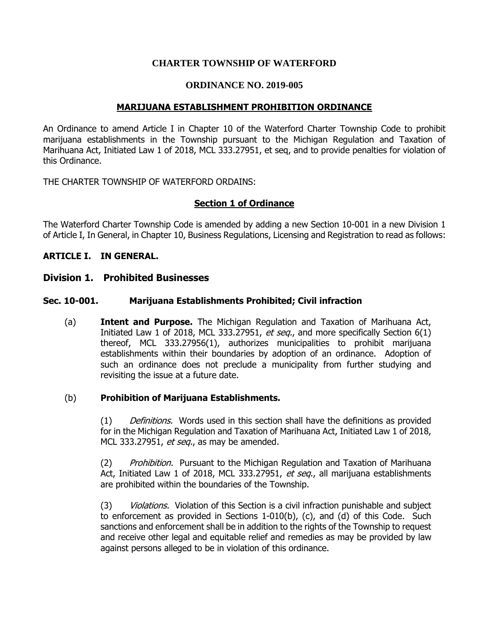## **CHARTER TOWNSHIP OF WATERFORD**

## **ORDINANCE NO. 2019-005**

## **MARIJUANA ESTABLISHMENT PROHIBITION ORDINANCE**

An Ordinance to amend Article I in Chapter 10 of the Waterford Charter Township Code to prohibit marijuana establishments in the Township pursuant to the Michigan Regulation and Taxation of Marihuana Act, Initiated Law 1 of 2018, MCL 333.27951, et seq, and to provide penalties for violation of this Ordinance.

THE CHARTER TOWNSHIP OF WATERFORD ORDAINS:

## **Section 1 of Ordinance**

The Waterford Charter Township Code is amended by adding a new Section 10-001 in a new Division 1 of Article I, In General, in Chapter 10, Business Regulations, Licensing and Registration to read as follows:

#### **ARTICLE I. IN GENERAL.**

#### **Division 1. Prohibited Businesses**

#### **Sec. 10-001. Marijuana Establishments Prohibited; Civil infraction**

(a) **Intent and Purpose.** The Michigan Regulation and Taxation of Marihuana Act, Initiated Law 1 of 2018, MCL 333.27951, et seq., and more specifically Section  $6(1)$ thereof, MCL 333.27956(1), authorizes municipalities to prohibit marijuana establishments within their boundaries by adoption of an ordinance. Adoption of such an ordinance does not preclude a municipality from further studying and revisiting the issue at a future date.

#### (b) **Prohibition of Marijuana Establishments.**

(1) Definitions. Words used in this section shall have the definitions as provided for in the Michigan Regulation and Taxation of Marihuana Act, Initiated Law 1 of 2018, MCL 333.27951, et seq., as may be amended.

(2) Prohibition. Pursuant to the Michigan Regulation and Taxation of Marihuana Act, Initiated Law 1 of 2018, MCL 333.27951, et seq., all marijuana establishments are prohibited within the boundaries of the Township.

(3) Violations. Violation of this Section is a civil infraction punishable and subject to enforcement as provided in Sections 1-010(b), (c), and (d) of this Code. Such sanctions and enforcement shall be in addition to the rights of the Township to request and receive other legal and equitable relief and remedies as may be provided by law against persons alleged to be in violation of this ordinance.